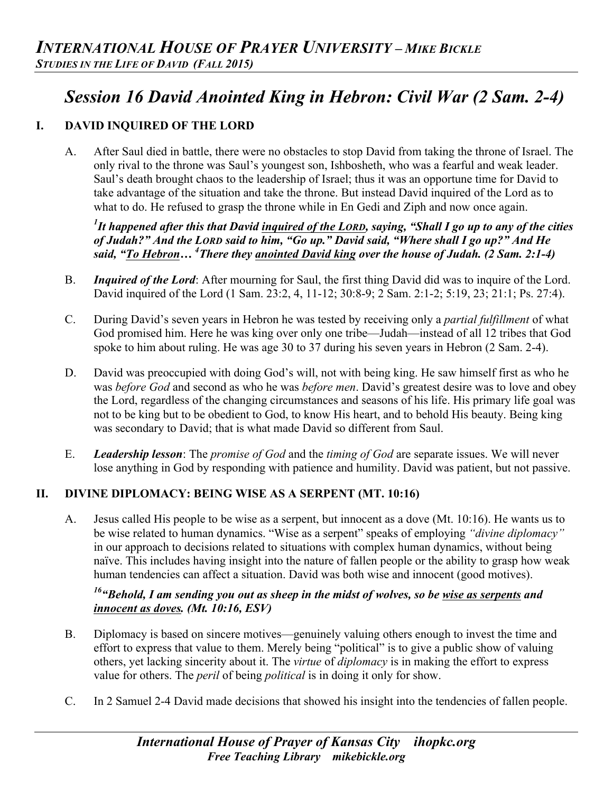# *Session 16 David Anointed King in Hebron: Civil War (2 Sam. 2-4)*

# **I. DAVID INQUIRED OF THE LORD**

A. After Saul died in battle, there were no obstacles to stop David from taking the throne of Israel. The only rival to the throne was Saul's youngest son, Ishbosheth, who was a fearful and weak leader. Saul's death brought chaos to the leadership of Israel; thus it was an opportune time for David to take advantage of the situation and take the throne. But instead David inquired of the Lord as to what to do. He refused to grasp the throne while in En Gedi and Ziph and now once again.

*1 It happened after this that David inquired of the LORD, saying, "Shall I go up to any of the cities of Judah?" And the LORD said to him, "Go up." David said, "Where shall I go up?" And He said, "To Hebron… <sup>4</sup> There they anointed David king over the house of Judah. (2 Sam. 2:1-4)*

- B. *Inquired of the Lord*: After mourning for Saul, the first thing David did was to inquire of the Lord. David inquired of the Lord (1 Sam. 23:2, 4, 11-12; 30:8-9; 2 Sam. 2:1-2; 5:19, 23; 21:1; Ps. 27:4).
- C. During David's seven years in Hebron he was tested by receiving only a *partial fulfillment* of what God promised him. Here he was king over only one tribe—Judah—instead of all 12 tribes that God spoke to him about ruling. He was age 30 to 37 during his seven years in Hebron (2 Sam. 2-4).
- D. David was preoccupied with doing God's will, not with being king. He saw himself first as who he was *before God* and second as who he was *before men*. David's greatest desire was to love and obey the Lord, regardless of the changing circumstances and seasons of his life. His primary life goal was not to be king but to be obedient to God, to know His heart, and to behold His beauty. Being king was secondary to David; that is what made David so different from Saul.
- E. *Leadership lesson*: The *promise of God* and the *timing of God* are separate issues. We will never lose anything in God by responding with patience and humility. David was patient, but not passive.

## **II. DIVINE DIPLOMACY: BEING WISE AS A SERPENT (MT. 10:16)**

A. Jesus called His people to be wise as a serpent, but innocent as a dove (Mt. 10:16). He wants us to be wise related to human dynamics. "Wise as a serpent" speaks of employing *"divine diplomacy"*  in our approach to decisions related to situations with complex human dynamics, without being naïve. This includes having insight into the nature of fallen people or the ability to grasp how weak human tendencies can affect a situation. David was both wise and innocent (good motives).

## *16"Behold, I am sending you out as sheep in the midst of wolves, so be wise as serpents and innocent as doves. (Mt. 10:16, ESV)*

- B. Diplomacy is based on sincere motives—genuinely valuing others enough to invest the time and effort to express that value to them. Merely being "political" is to give a public show of valuing others, yet lacking sincerity about it. The *virtue* of *diplomacy* is in making the effort to express value for others. The *peril* of being *political* is in doing it only for show.
- C. In 2 Samuel 2-4 David made decisions that showed his insight into the tendencies of fallen people.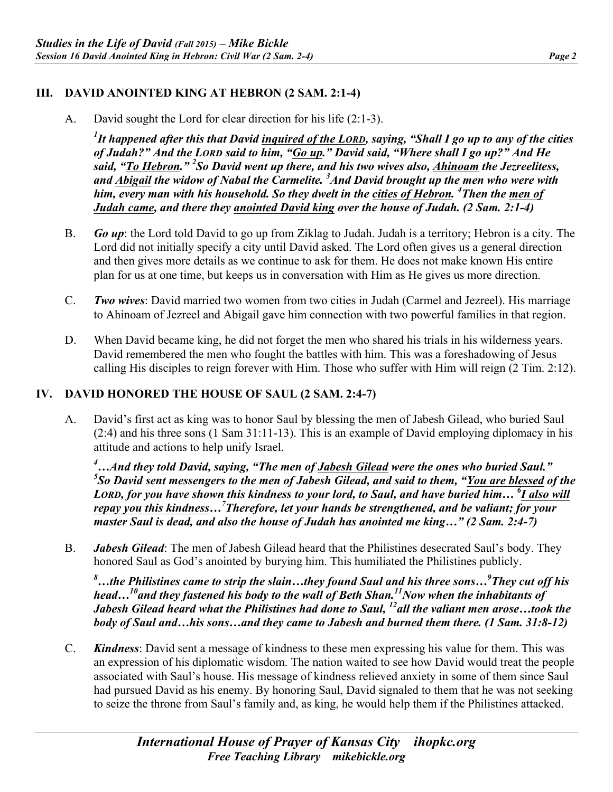### **III. DAVID ANOINTED KING AT HEBRON (2 SAM. 2:1-4)**

A. David sought the Lord for clear direction for his life (2:1-3).

*1 It happened after this that David inquired of the LORD, saying, "Shall I go up to any of the cities of Judah?" And the LORD said to him, "Go up." David said, "Where shall I go up?" And He said, "To Hebron." 2 So David went up there, and his two wives also, Ahinoam the Jezreelitess, and Abigail the widow of Nabal the Carmelite. 3 And David brought up the men who were with him, every man with his household. So they dwelt in the cities of Hebron. 4 Then the men of Judah came, and there they anointed David king over the house of Judah. (2 Sam. 2:1-4)*

- B. *Go up*: the Lord told David to go up from Ziklag to Judah. Judah is a territory; Hebron is a city. The Lord did not initially specify a city until David asked. The Lord often gives us a general direction and then gives more details as we continue to ask for them. He does not make known His entire plan for us at one time, but keeps us in conversation with Him as He gives us more direction.
- C. *Two wives*: David married two women from two cities in Judah (Carmel and Jezreel). His marriage to Ahinoam of Jezreel and Abigail gave him connection with two powerful families in that region.
- D. When David became king, he did not forget the men who shared his trials in his wilderness years. David remembered the men who fought the battles with him. This was a foreshadowing of Jesus calling His disciples to reign forever with Him. Those who suffer with Him will reign (2 Tim. 2:12).

#### **IV. DAVID HONORED THE HOUSE OF SAUL (2 SAM. 2:4-7)**

A. David's first act as king was to honor Saul by blessing the men of Jabesh Gilead, who buried Saul (2:4) and his three sons (1 Sam 31:11-13). This is an example of David employing diplomacy in his attitude and actions to help unify Israel.

*4 …And they told David, saying, "The men of Jabesh Gilead were the ones who buried Saul." 5 So David sent messengers to the men of Jabesh Gilead, and said to them, "You are blessed of the LORD, for you have shown this kindness to your lord, to Saul, and have buried him… <sup>6</sup> I also will repay you this kindness…7 Therefore, let your hands be strengthened, and be valiant; for your master Saul is dead, and also the house of Judah has anointed me king…" (2 Sam. 2:4-7)*

B. *Jabesh Gilead*: The men of Jabesh Gilead heard that the Philistines desecrated Saul's body. They honored Saul as God's anointed by burying him. This humiliated the Philistines publicly.

*8 …the Philistines came to strip the slain…they found Saul and his three sons…9 They cut off his head…10and they fastened his body to the wall of Beth Shan.11Now when the inhabitants of Jabesh Gilead heard what the Philistines had done to Saul, 12all the valiant men arose…took the body of Saul and…his sons…and they came to Jabesh and burned them there. (1 Sam. 31:8-12)*

C. *Kindness*: David sent a message of kindness to these men expressing his value for them. This was an expression of his diplomatic wisdom. The nation waited to see how David would treat the people associated with Saul's house. His message of kindness relieved anxiety in some of them since Saul had pursued David as his enemy. By honoring Saul, David signaled to them that he was not seeking to seize the throne from Saul's family and, as king, he would help them if the Philistines attacked.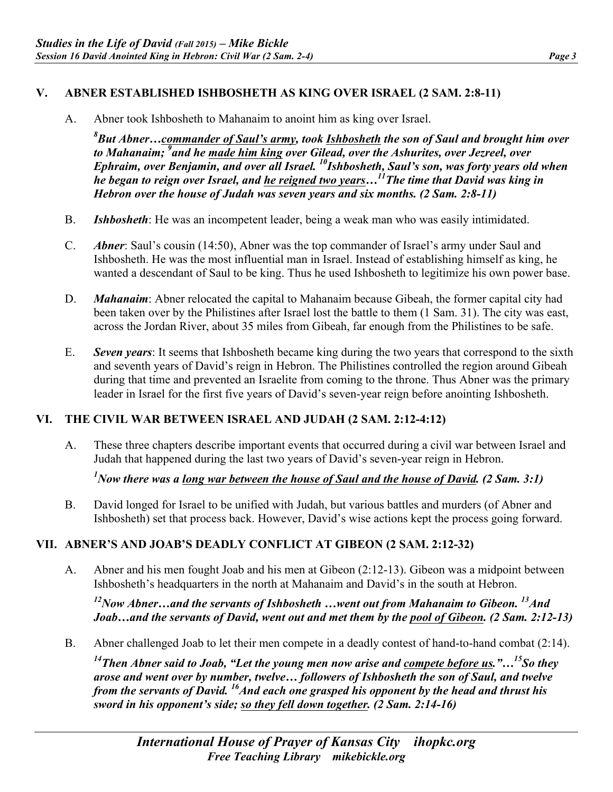#### **V. ABNER ESTABLISHED ISHBOSHETH AS KING OVER ISRAEL (2 SAM. 2:8-11)**

A. Abner took Ishbosheth to Mahanaim to anoint him as king over Israel.

*8 But Abner…commander of Saul's army, took Ishbosheth the son of Saul and brought him over to Mahanaim; 9 and he made him king over Gilead, over the Ashurites, over Jezreel, over Ephraim, over Benjamin, and over all Israel.* <sup>10</sup>*Ishbosheth, Saul's son, was forty years old when he began to reign over Israel, and he reigned two years…11The time that David was king in Hebron over the house of Judah was seven years and six months. (2 Sam. 2:8-11)*

- B. *Ishbosheth*: He was an incompetent leader, being a weak man who was easily intimidated.
- C. *Abner*: Saul's cousin (14:50), Abner was the top commander of Israel's army under Saul and Ishbosheth. He was the most influential man in Israel. Instead of establishing himself as king, he wanted a descendant of Saul to be king. Thus he used Ishbosheth to legitimize his own power base.
- D. *Mahanaim*: Abner relocated the capital to Mahanaim because Gibeah, the former capital city had been taken over by the Philistines after Israel lost the battle to them (1 Sam. 31). The city was east, across the Jordan River, about 35 miles from Gibeah, far enough from the Philistines to be safe.
- E. *Seven years*: It seems that Ishbosheth became king during the two years that correspond to the sixth and seventh years of David's reign in Hebron. The Philistines controlled the region around Gibeah during that time and prevented an Israelite from coming to the throne. Thus Abner was the primary leader in Israel for the first five years of David's seven-year reign before anointing Ishbosheth.

#### **VI. THE CIVIL WAR BETWEEN ISRAEL AND JUDAH (2 SAM. 2:12-4:12)**

A. These three chapters describe important events that occurred during a civil war between Israel and Judah that happened during the last two years of David's seven-year reign in Hebron.

## *1 Now there was a long war between the house of Saul and the house of David. (2 Sam. 3:1)*

B. David longed for Israel to be unified with Judah, but various battles and murders (of Abner and Ishbosheth) set that process back. However, David's wise actions kept the process going forward.

#### **VII. ABNER'S AND JOAB'S DEADLY CONFLICT AT GIBEON (2 SAM. 2:12-32)**

A. Abner and his men fought Joab and his men at Gibeon (2:12-13). Gibeon was a midpoint between Ishbosheth's headquarters in the north at Mahanaim and David's in the south at Hebron.

*12Now Abner…and the servants of Ishbosheth …went out from Mahanaim to Gibeon. 13And Joab…and the servants of David, went out and met them by the pool of Gibeon. (2 Sam. 2:12-13)*

B. Abner challenged Joab to let their men compete in a deadly contest of hand-to-hand combat (2:14).

*14Then Abner said to Joab, "Let the young men now arise and compete before us."…15So they arose and went over by number, twelve… followers of Ishbosheth the son of Saul, and twelve from the servants of David.* <sup>16</sup>And each one grasped his opponent by the head and thrust his *sword in his opponent's side; so they fell down together. (2 Sam. 2:14-16)*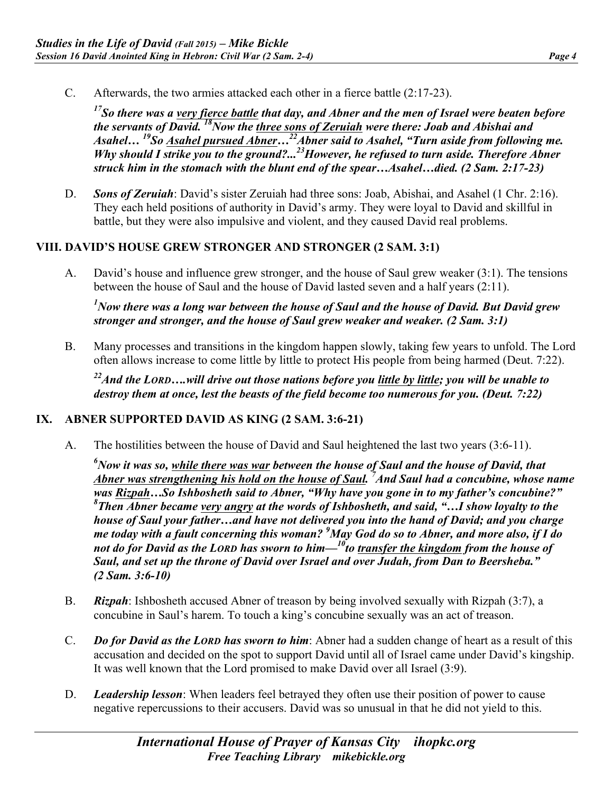C. Afterwards, the two armies attacked each other in a fierce battle (2:17-23).

*17So there was a very fierce battle that day, and Abner and the men of Israel were beaten before the servants of David. 18Now the three sons of Zeruiah were there: Joab and Abishai and Asahel… 19So Asahel pursued Abner…22Abner said to Asahel, "Turn aside from following me. Why should I strike you to the ground?...<sup>23</sup> However, he refused to turn aside. Therefore Abner struck him in the stomach with the blunt end of the spear…Asahel…died. (2 Sam. 2:17-23)*

D. *Sons of Zeruiah*: David's sister Zeruiah had three sons: Joab, Abishai, and Asahel (1 Chr. 2:16). They each held positions of authority in David's army. They were loyal to David and skillful in battle, but they were also impulsive and violent, and they caused David real problems.

#### **VIII. DAVID'S HOUSE GREW STRONGER AND STRONGER (2 SAM. 3:1)**

A. David's house and influence grew stronger, and the house of Saul grew weaker (3:1). The tensions between the house of Saul and the house of David lasted seven and a half years (2:11).

*1 Now there was a long war between the house of Saul and the house of David. But David grew stronger and stronger, and the house of Saul grew weaker and weaker. (2 Sam. 3:1)*

B. Many processes and transitions in the kingdom happen slowly, taking few years to unfold. The Lord often allows increase to come little by little to protect His people from being harmed (Deut. 7:22).

*22And the LORD….will drive out those nations before you little by little; you will be unable to destroy them at once, lest the beasts of the field become too numerous for you. (Deut. 7:22)*

#### **IX. ABNER SUPPORTED DAVID AS KING (2 SAM. 3:6-21)**

A. The hostilities between the house of David and Saul heightened the last two years (3:6-11).

*6 Now it was so, while there was war between the house of Saul and the house of David, that Abner was strengthening his hold on the house of Saul. 7 And Saul had a concubine, whose name was Rizpah…So Ishbosheth said to Abner, "Why have you gone in to my father's concubine?" 8 Then Abner became very angry at the words of Ishbosheth, and said, "…I show loyalty to the house of Saul your father…and have not delivered you into the hand of David; and you charge me today with a fault concerning this woman? <sup>9</sup> May God do so to Abner, and more also, if I do not do for David as the LORD has sworn to him—10to transfer the kingdom from the house of Saul, and set up the throne of David over Israel and over Judah, from Dan to Beersheba." (2 Sam. 3:6-10)*

- B. *Rizpah*: Ishbosheth accused Abner of treason by being involved sexually with Rizpah (3:7), a concubine in Saul's harem. To touch a king's concubine sexually was an act of treason.
- C. *Do for David as the LORD has sworn to him*: Abner had a sudden change of heart as a result of this accusation and decided on the spot to support David until all of Israel came under David's kingship. It was well known that the Lord promised to make David over all Israel (3:9).
- D. *Leadership lesson*: When leaders feel betrayed they often use their position of power to cause negative repercussions to their accusers. David was so unusual in that he did not yield to this.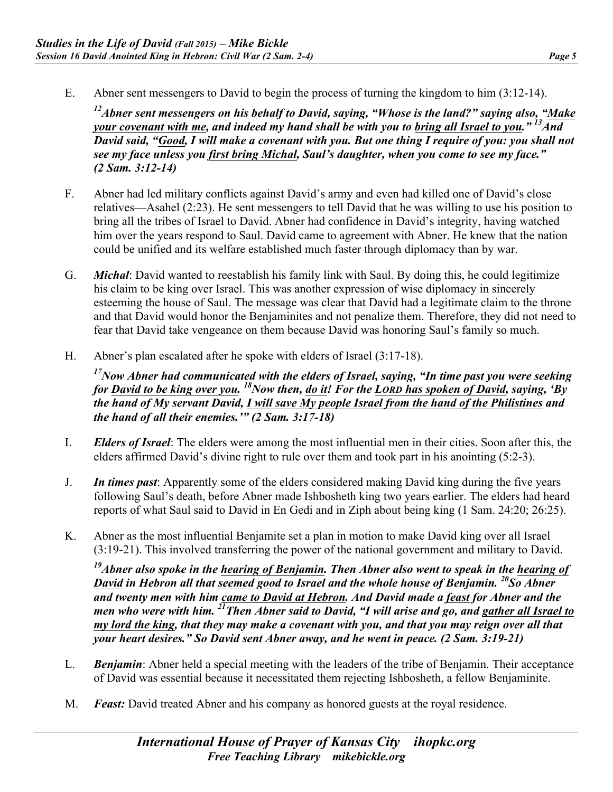E. Abner sent messengers to David to begin the process of turning the kingdom to him (3:12-14).

*12Abner sent messengers on his behalf to David, saying, "Whose is the land?" saying also, "Make your covenant with me, and indeed my hand shall be with you to bring all Israel to you." 13And David said, "Good, I will make a covenant with you. But one thing I require of you: you shall not see my face unless you first bring Michal, Saul's daughter, when you come to see my face." (2 Sam. 3:12-14)*

- F. Abner had led military conflicts against David's army and even had killed one of David's close relatives—Asahel (2:23). He sent messengers to tell David that he was willing to use his position to bring all the tribes of Israel to David. Abner had confidence in David's integrity, having watched him over the years respond to Saul. David came to agreement with Abner. He knew that the nation could be unified and its welfare established much faster through diplomacy than by war.
- G. *Michal*: David wanted to reestablish his family link with Saul. By doing this, he could legitimize his claim to be king over Israel. This was another expression of wise diplomacy in sincerely esteeming the house of Saul. The message was clear that David had a legitimate claim to the throne and that David would honor the Benjaminites and not penalize them. Therefore, they did not need to fear that David take vengeance on them because David was honoring Saul's family so much.
- H. Abner's plan escalated after he spoke with elders of Israel (3:17-18).

*17Now Abner had communicated with the elders of Israel, saying, "In time past you were seeking for David to be king over you. 18Now then, do it! For the LORD has spoken of David, saying, 'By the hand of My servant David, I will save My people Israel from the hand of the Philistines and the hand of all their enemies.'" (2 Sam. 3:17-18)*

- I. *Elders of Israel*: The elders were among the most influential men in their cities. Soon after this, the elders affirmed David's divine right to rule over them and took part in his anointing (5:2-3).
- J. *In times past*: Apparently some of the elders considered making David king during the five years following Saul's death, before Abner made Ishbosheth king two years earlier. The elders had heard reports of what Saul said to David in En Gedi and in Ziph about being king (1 Sam. 24:20; 26:25).
- K. Abner as the most influential Benjamite set a plan in motion to make David king over all Israel (3:19-21). This involved transferring the power of the national government and military to David.

*19Abner also spoke in the hearing of Benjamin. Then Abner also went to speak in the hearing of David in Hebron all that seemed good to Israel and the whole house of Benjamin. 20So Abner and twenty men with him came to David at Hebron. And David made a feast for Abner and the men who were with him. 21Then Abner said to David, "I will arise and go, and gather all Israel to my lord the king, that they may make a covenant with you, and that you may reign over all that your heart desires." So David sent Abner away, and he went in peace. (2 Sam. 3:19-21)*

- L. *Benjamin*: Abner held a special meeting with the leaders of the tribe of Benjamin. Their acceptance of David was essential because it necessitated them rejecting Ishbosheth, a fellow Benjaminite.
- M. *Feast:* David treated Abner and his company as honored guests at the royal residence.